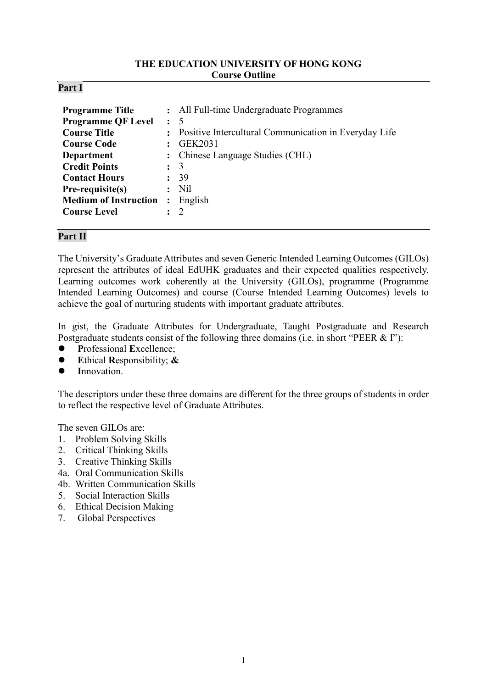## **THE EDUCATION UNIVERSITY OF HONG KONG Course Outline**

#### **Part I**

| <b>Programme Title</b>       |                | : All Full-time Undergraduate Programmes                |
|------------------------------|----------------|---------------------------------------------------------|
| <b>Programme QF Level</b>    | $\colon$ 5     |                                                         |
| <b>Course Title</b>          |                | : Positive Intercultural Communication in Everyday Life |
| <b>Course Code</b>           |                | GEK2031                                                 |
| <b>Department</b>            |                | : Chinese Language Studies (CHL)                        |
| <b>Credit Points</b>         | $\colon$ 3     |                                                         |
| <b>Contact Hours</b>         |                | 39                                                      |
| $Pre-requistic(s)$           | $\ddot{\cdot}$ | Nil                                                     |
| <b>Medium of Instruction</b> | $\ddot{\cdot}$ | English                                                 |
| <b>Course Level</b>          |                | $\mathcal{D}$                                           |

#### **Part II**

The University's Graduate Attributes and seven Generic Intended Learning Outcomes (GILOs) represent the attributes of ideal EdUHK graduates and their expected qualities respectively. Learning outcomes work coherently at the University (GILOs), programme (Programme Intended Learning Outcomes) and course (Course Intended Learning Outcomes) levels to achieve the goal of nurturing students with important graduate attributes.

In gist, the Graduate Attributes for Undergraduate, Taught Postgraduate and Research Postgraduate students consist of the following three domains (i.e. in short "PEER & I"):

- **P**rofessional **E**xcellence;
- **E**thical **R**esponsibility; **&**
- **I**nnovation.

The descriptors under these three domains are different for the three groups of students in order to reflect the respective level of Graduate Attributes.

The seven GILOs are:

- 1. Problem Solving Skills
- 2. Critical Thinking Skills
- 3. Creative Thinking Skills
- 4a. Oral Communication Skills
- 4b. Written Communication Skills
- 5. Social Interaction Skills
- 6. Ethical Decision Making
- 7. Global Perspectives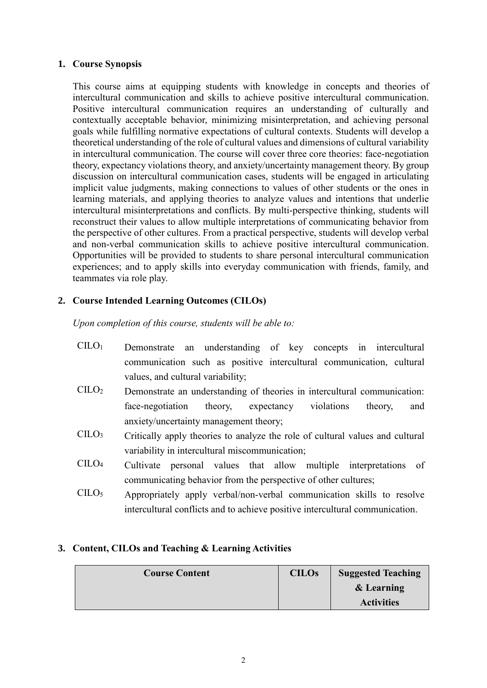#### **1. Course Synopsis**

This course aims at equipping students with knowledge in concepts and theories of intercultural communication and skills to achieve positive intercultural communication. Positive intercultural communication requires an understanding of culturally and contextually acceptable behavior, minimizing misinterpretation, and achieving personal goals while fulfilling normative expectations of cultural contexts. Students will develop a theoretical understanding of the role of cultural values and dimensions of cultural variability in intercultural communication. The course will cover three core theories: face-negotiation theory, expectancy violations theory, and anxiety/uncertainty management theory. By group discussion on intercultural communication cases, students will be engaged in articulating implicit value judgments, making connections to values of other students or the ones in learning materials, and applying theories to analyze values and intentions that underlie intercultural misinterpretations and conflicts. By multi-perspective thinking, students will reconstruct their values to allow multiple interpretations of communicating behavior from the perspective of other cultures. From a practical perspective, students will develop verbal and non-verbal communication skills to achieve positive intercultural communication. Opportunities will be provided to students to share personal intercultural communication experiences; and to apply skills into everyday communication with friends, family, and teammates via role play.

## **2. Course Intended Learning Outcomes (CILOs)**

*Upon completion of this course, students will be able to:*

| CLLO <sub>1</sub>              | Demonstrate an understanding of key concepts in intercultural                 |  |  |  |  |
|--------------------------------|-------------------------------------------------------------------------------|--|--|--|--|
|                                | communication such as positive intercultural communication, cultural          |  |  |  |  |
|                                | values, and cultural variability;                                             |  |  |  |  |
| C <sub>LO<sub>2</sub></sub>    | Demonstrate an understanding of theories in intercultural communication:      |  |  |  |  |
|                                | face-negotiation theory, expectancy violations<br>theory,<br>and              |  |  |  |  |
|                                | anxiety/uncertainty management theory;                                        |  |  |  |  |
| C <sub>II</sub> O <sub>3</sub> | Critically apply theories to analyze the role of cultural values and cultural |  |  |  |  |
|                                | variability in intercultural miscommunication;                                |  |  |  |  |
| C <sub>1</sub> CO <sub>4</sub> | Cultivate personal values that allow multiple interpretations of              |  |  |  |  |
|                                | communicating behavior from the perspective of other cultures;                |  |  |  |  |

CILO<sup>5</sup> Appropriately apply verbal/non-verbal communication skills to resolve intercultural conflicts and to achieve positive intercultural communication.

## **3. Content, CILOs and Teaching & Learning Activities**

| <b>Course Content</b> | <b>CILOs</b> | <b>Suggested Teaching</b> |
|-----------------------|--------------|---------------------------|
|                       |              | & Learning                |
|                       |              | <b>Activities</b>         |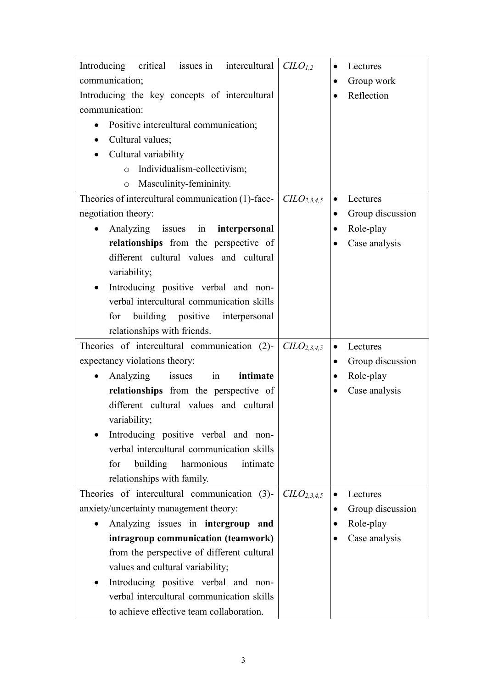| Introducing<br>critical issues in intercultural    | CLO <sub>1,2</sub>                  | Lectures<br>$\bullet$         |
|----------------------------------------------------|-------------------------------------|-------------------------------|
| communication;                                     |                                     | Group work<br>$\bullet$       |
| Introducing the key concepts of intercultural      |                                     | Reflection                    |
| communication:                                     |                                     |                               |
| Positive intercultural communication;<br>$\bullet$ |                                     |                               |
| Cultural values;<br>$\bullet$                      |                                     |                               |
| Cultural variability                               |                                     |                               |
| Individualism-collectivism;<br>$\circ$             |                                     |                               |
| Masculinity-femininity.<br>$\circ$                 |                                     |                               |
| Theories of intercultural communication (1)-face-  | C <sub>2,3,4,5</sub>                | Lectures                      |
| negotiation theory:                                |                                     | Group discussion<br>$\bullet$ |
| Analyzing issues in <b>interpersonal</b>           |                                     | Role-play                     |
| relationships from the perspective of              |                                     | Case analysis                 |
| different cultural values and cultural             |                                     |                               |
| variability;                                       |                                     |                               |
| Introducing positive verbal and non-               |                                     |                               |
| verbal intercultural communication skills          |                                     |                               |
| for building positive<br>interpersonal             |                                     |                               |
| relationships with friends.                        |                                     |                               |
| Theories of intercultural communication (2)-       | C <sub>2,3,4,5</sub>                | Lectures                      |
| expectancy violations theory:                      |                                     | Group discussion<br>$\bullet$ |
| Analyzing<br>issues<br>in<br>intimate<br>$\bullet$ |                                     | Role-play<br>$\bullet$        |
| relationships from the perspective of              |                                     | Case analysis                 |
| different cultural values and cultural             |                                     |                               |
| variability;                                       |                                     |                               |
| Introducing positive verbal and non-               |                                     |                               |
| verbal intercultural communication skills          |                                     |                               |
| building harmonious<br>for<br>intimate             |                                     |                               |
| relationships with family.                         |                                     |                               |
| Theories of intercultural communication (3)-       | C <sub>L</sub> O <sub>2,3,4,5</sub> | Lectures                      |
| anxiety/uncertainty management theory:             |                                     | Group discussion              |
| Analyzing issues in intergroup and                 |                                     | Role-play<br>٠                |
| intragroup communication (teamwork)                |                                     | Case analysis                 |
| from the perspective of different cultural         |                                     |                               |
|                                                    |                                     |                               |
| values and cultural variability;                   |                                     |                               |
| Introducing positive verbal and non-               |                                     |                               |
| verbal intercultural communication skills          |                                     |                               |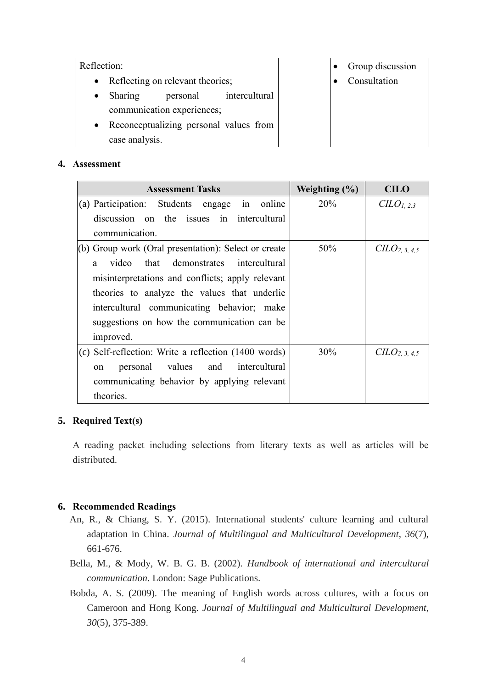| Reflection: |                                  |          |                                        |  | Group discussion |
|-------------|----------------------------------|----------|----------------------------------------|--|------------------|
| $\bullet$   | Reflecting on relevant theories; |          |                                        |  | Consultation     |
| $\bullet$   | Sharing                          | personal | intercultural                          |  |                  |
|             | communication experiences;       |          |                                        |  |                  |
| $\bullet$   |                                  |          | Reconceptualizing personal values from |  |                  |
|             | case analysis.                   |          |                                        |  |                  |

#### **4. Assessment**

| <b>Assessment Tasks</b>                                | Weighting $(\% )$ | <b>CILO</b>                 |
|--------------------------------------------------------|-------------------|-----------------------------|
| (a) Participation: Students engage in online           | 20%               | $CLO_{1,2,3}$               |
| discussion on the issues in intercultural              |                   |                             |
| communication.                                         |                   |                             |
| $(6)$ Group work (Oral presentation): Select or create | 50%               | C <sub>LO2, 3, 4, 5</sub>   |
| video that demonstrates intercultural<br>$\mathbf{a}$  |                   |                             |
| misinterpretations and conflicts; apply relevant       |                   |                             |
| theories to analyze the values that underlie           |                   |                             |
| intercultural communicating behavior; make             |                   |                             |
| suggestions on how the communication can be            |                   |                             |
| improved.                                              |                   |                             |
| (c) Self-reflection: Write a reflection (1400 words)   | 30%               | $CLO$ <sub>2</sub> , 3, 4,5 |
| personal values<br>and intercultural<br><sub>on</sub>  |                   |                             |
| communicating behavior by applying relevant            |                   |                             |
| theories.                                              |                   |                             |

## **5. Required Text(s)**

A reading packet including selections from literary texts as well as articles will be distributed.

## **6. Recommended Readings**

- An, R., & Chiang, S. Y. (2015). International students' culture learning and cultural adaptation in China. *Journal of Multilingual and Multicultural Development*, *36*(7), 661-676.
- Bella, M., & Mody, W. B. G. B. (2002). *Handbook of international and intercultural communication*. London: Sage Publications.
- Bobda, A. S. (2009). The meaning of English words across cultures, with a focus on Cameroon and Hong Kong. *Journal of Multilingual and Multicultural Development*, *30*(5), 375-389.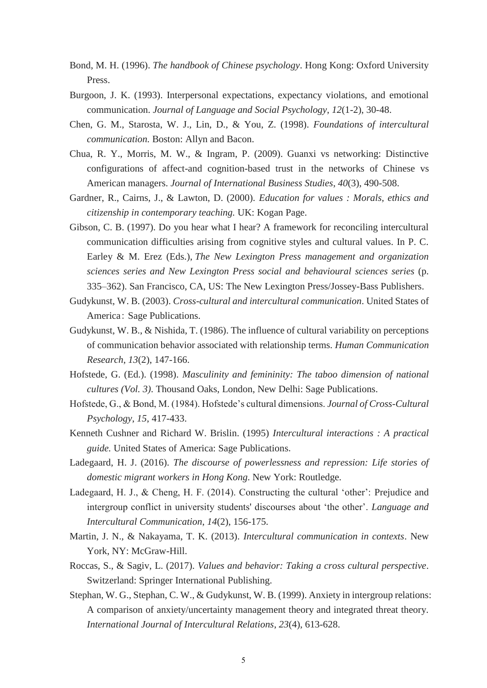- Bond, M. H. (1996). *The handbook of Chinese psychology*. Hong Kong: Oxford University Press.
- Burgoon, J. K. (1993). Interpersonal expectations, expectancy violations, and emotional communication. *Journal of Language and Social Psychology*, *12*(1-2), 30-48.
- Chen, G. M., Starosta, W. J., Lin, D., & You, Z. (1998). *Foundations of intercultural communication.* Boston: Allyn and Bacon.
- Chua, R. Y., Morris, M. W., & Ingram, P. (2009). Guanxi vs networking: Distinctive configurations of affect-and cognition-based trust in the networks of Chinese vs American managers. *Journal of International Business Studies*, *40*(3), 490-508.
- Gardner, R., Cairns, J., & Lawton, D. (2000). *Education for values : Morals, ethics and citizenship in contemporary teaching.* UK: Kogan Page.
- Gibson, C. B. (1997). Do you hear what I hear? A framework for reconciling intercultural communication difficulties arising from cognitive styles and cultural values. In P. C. Earley & M. Erez (Eds.), *The New Lexington Press management and organization sciences series and New Lexington Press social and behavioural sciences series* (p. 335–362). San Francisco, CA, US: The New Lexington Press/Jossey-Bass Publishers.
- Gudykunst, W. B. (2003). *Cross-cultural and intercultural communication*. United States of America: Sage Publications.
- Gudykunst, W. B., & Nishida, T. (1986). The influence of cultural variability on perceptions of communication behavior associated with relationship terms. *Human Communication Research*, *13*(2), 147-166.
- Hofstede, G. (Ed.). (1998). *Masculinity and femininity: The taboo dimension of national cultures (Vol. 3)*. Thousand Oaks, London, New Delhi: Sage Publications.
- Hofstede, G., & Bond, M. (1984). Hofstede's cultural dimensions. *Journal of Cross-Cultural Psychology*, *15*, 417-433.
- Kenneth Cushner and Richard W. Brislin. (1995) *Intercultural interactions : A practical guide.* United States of America: Sage Publications.
- Ladegaard, H. J. (2016). *The discourse of powerlessness and repression: Life stories of domestic migrant workers in Hong Kong*. New York: Routledge.
- Ladegaard, H. J., & Cheng, H. F. (2014). Constructing the cultural 'other': Prejudice and intergroup conflict in university students' discourses about 'the other'. *Language and Intercultural Communication*, *14*(2), 156-175.
- Martin, J. N., & Nakayama, T. K. (2013). *Intercultural communication in contexts*. New York, NY: McGraw-Hill.
- Roccas, S., & Sagiv, L. (2017). *Values and behavior: Taking a cross cultural perspective*. Switzerland: Springer International Publishing.
- Stephan, W. G., Stephan, C. W., & Gudykunst, W. B. (1999). Anxiety in intergroup relations: A comparison of anxiety/uncertainty management theory and integrated threat theory. *International Journal of Intercultural Relations*, *23*(4), 613-628.